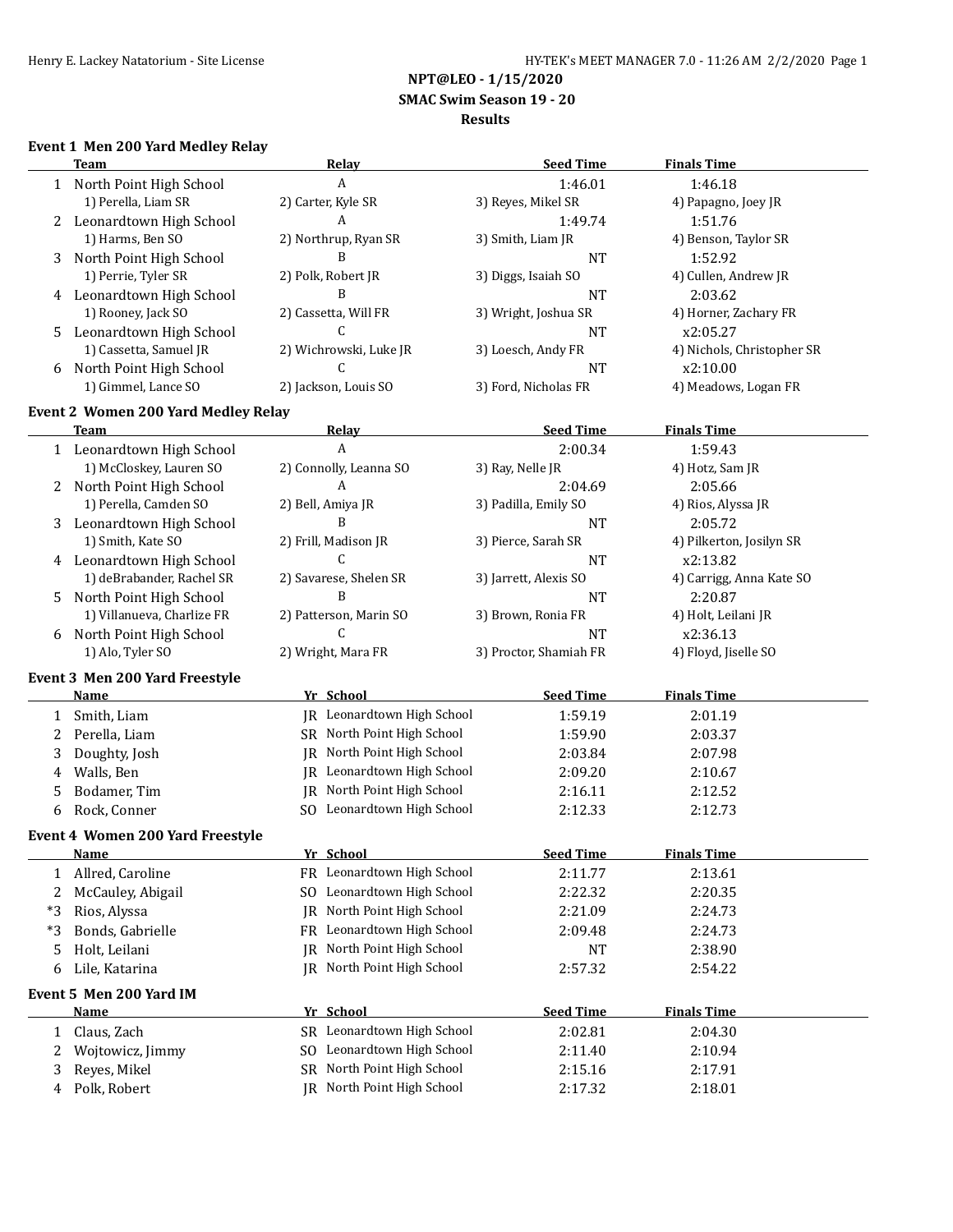**NPT@LEO - 1/15/2020**

 **SMAC Swim Season 19 - 20**

#### **Results**

## **Event 1 Men 200 Yard Medley Relay**

|      | <b>Team</b>                             | <b>Relay</b>                   | <b>Seed Time</b>       | <b>Finals Time</b>         |
|------|-----------------------------------------|--------------------------------|------------------------|----------------------------|
| 1    | North Point High School                 | A                              | 1:46.01                | 1:46.18                    |
|      | 1) Perella, Liam SR                     | 2) Carter, Kyle SR             | 3) Reyes, Mikel SR     | 4) Papagno, Joey JR        |
| 2    | Leonardtown High School                 | A                              | 1:49.74                | 1:51.76                    |
|      | 1) Harms, Ben SO                        | 2) Northrup, Ryan SR           | 3) Smith, Liam JR      | 4) Benson, Taylor SR       |
| 3    | North Point High School                 | B                              | <b>NT</b>              | 1:52.92                    |
|      | 1) Perrie, Tyler SR                     | 2) Polk, Robert JR             | 3) Diggs, Isaiah SO    | 4) Cullen, Andrew JR       |
| 4    | Leonardtown High School                 | B                              | <b>NT</b>              | 2:03.62                    |
|      | 1) Rooney, Jack SO                      | 2) Cassetta, Will FR           | 3) Wright, Joshua SR   | 4) Horner, Zachary FR      |
| 5.   | Leonardtown High School                 | C                              | <b>NT</b>              | x2:05.27                   |
|      | 1) Cassetta, Samuel JR                  | 2) Wichrowski, Luke JR         | 3) Loesch, Andy FR     | 4) Nichols, Christopher SR |
| 6    | North Point High School                 | C.                             | NT                     | x2:10.00                   |
|      | 1) Gimmel, Lance SO                     | 2) Jackson, Louis SO           | 3) Ford, Nicholas FR   | 4) Meadows, Logan FR       |
|      | Event 2 Women 200 Yard Medley Relay     |                                |                        |                            |
|      | <b>Team</b>                             | <u>Relay</u>                   | <b>Seed Time</b>       | <b>Finals Time</b>         |
|      | 1 Leonardtown High School               | $\overline{A}$                 | 2:00.34                | 1:59.43                    |
|      | 1) McCloskey, Lauren SO                 | 2) Connolly, Leanna SO         | 3) Ray, Nelle JR       | 4) Hotz, Sam JR            |
| 2    | North Point High School                 | A                              | 2:04.69                | 2:05.66                    |
|      | 1) Perella, Camden SO                   | 2) Bell, Amiya JR              | 3) Padilla, Emily SO   | 4) Rios, Alyssa JR         |
| 3    | Leonardtown High School                 | B                              | <b>NT</b>              | 2:05.72                    |
|      | 1) Smith, Kate SO                       | 2) Frill, Madison JR           | 3) Pierce, Sarah SR    | 4) Pilkerton, Josilyn SR   |
|      | 4 Leonardtown High School               | C                              | <b>NT</b>              | x2:13.82                   |
|      | 1) deBrabander, Rachel SR               | 2) Savarese, Shelen SR         | 3) Jarrett, Alexis SO  | 4) Carrigg, Anna Kate SO   |
| 5    | North Point High School                 | B                              | <b>NT</b>              | 2:20.87                    |
|      | 1) Villanueva, Charlize FR              | 2) Patterson, Marin SO         | 3) Brown, Ronia FR     | 4) Holt, Leilani JR        |
| 6    | North Point High School                 | C                              | <b>NT</b>              | x2:36.13                   |
|      | 1) Alo, Tyler SO                        | 2) Wright, Mara FR             | 3) Proctor, Shamiah FR | 4) Floyd, Jiselle SO       |
|      |                                         |                                |                        |                            |
|      | Event 3 Men 200 Yard Freestyle<br>Name  | Yr School                      | <b>Seed Time</b>       | <b>Finals Time</b>         |
|      |                                         |                                |                        |                            |
| 1    | Smith, Liam                             | JR Leonardtown High School     | 1:59.19                | 2:01.19                    |
| 2    | Perella, Liam                           | SR North Point High School     | 1:59.90                | 2:03.37                    |
| 3    | Doughty, Josh                           | North Point High School<br>IR  | 2:03.84                | 2:07.98                    |
| 4    | Walls, Ben                              | Leonardtown High School<br>IR  | 2:09.20                | 2:10.67                    |
| 5    | Bodamer, Tim                            | North Point High School<br>IR  | 2:16.11                | 2:12.52                    |
| 6    | Rock, Conner                            | SO Leonardtown High School     | 2:12.33                | 2:12.73                    |
|      | <b>Event 4 Women 200 Yard Freestyle</b> |                                |                        |                            |
|      | <u>Name</u>                             | Yr School                      | <u>Seed Time</u>       | <b>Finals Time</b>         |
| 1    | Allred, Caroline                        | FR Leonardtown High School     | 2:11.77                | 2:13.61                    |
| 2    | McCauley, Abigail                       | Leonardtown High School<br>SO. | 2:22.32                | 2:20.35                    |
| $*3$ | Rios, Alyssa                            | North Point High School<br>IR  | 2:21.09                | 2:24.73                    |
| $*3$ | Bonds, Gabrielle                        | Leonardtown High School<br>FR. | 2:09.48                | 2:24.73                    |
| 5    | Holt, Leilani                           | North Point High School<br>IR  | NT                     | 2:38.90                    |
| 6    | Lile, Katarina                          | North Point High School<br>IR  | 2:57.32                | 2:54.22                    |
|      | Event 5 Men 200 Yard IM                 |                                |                        |                            |
|      | <b>Name</b>                             | Yr School                      | <b>Seed Time</b>       | <b>Finals Time</b>         |
| 1    | Claus, Zach                             | SR Leonardtown High School     | 2:02.81                | 2:04.30                    |
| 2    | Wojtowicz, Jimmy                        | SO Leonardtown High School     | 2:11.40                | 2:10.94                    |
| 3    | Reyes, Mikel                            | SR North Point High School     | 2:15.16                | 2:17.91                    |
|      | Polk, Robert                            | JR North Point High School     |                        |                            |
| 4    |                                         |                                | 2:17.32                | 2:18.01                    |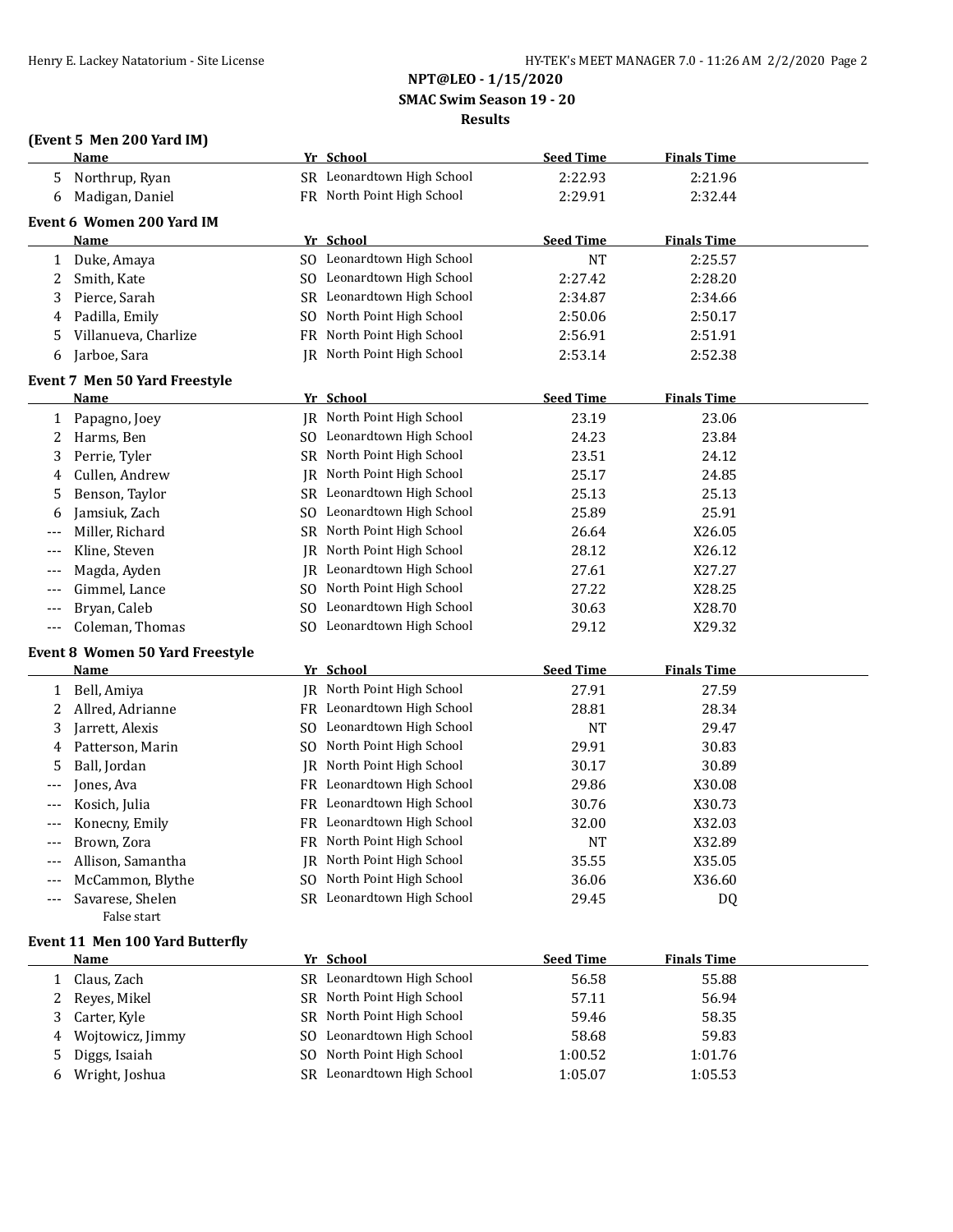# **NPT@LEO - 1/15/2020 SMAC Swim Season 19 - 20**

#### **Results**

|  | (Event 5 Men 200 Yard IM) |  |
|--|---------------------------|--|
|--|---------------------------|--|

|       | <b>Name</b>                            |    | Yr School                  | <b>Seed Time</b> | <b>Finals Time</b> |  |
|-------|----------------------------------------|----|----------------------------|------------------|--------------------|--|
| 5     | Northrup, Ryan                         |    | SR Leonardtown High School | 2:22.93          | 2:21.96            |  |
| 6     | Madigan, Daniel                        |    | FR North Point High School | 2:29.91          | 2:32.44            |  |
|       | Event 6 Women 200 Yard IM              |    |                            |                  |                    |  |
|       | <b>Name</b>                            |    | Yr School                  | <b>Seed Time</b> | <b>Finals Time</b> |  |
| 1     | Duke, Amaya                            |    | SO Leonardtown High School | <b>NT</b>        | 2:25.57            |  |
| 2     | Smith, Kate                            |    | SO Leonardtown High School | 2:27.42          | 2:28.20            |  |
| 3     | Pierce, Sarah                          |    | SR Leonardtown High School | 2:34.87          | 2:34.66            |  |
| 4     | Padilla, Emily                         |    | SO North Point High School | 2:50.06          | 2:50.17            |  |
| 5     | Villanueva, Charlize                   |    | FR North Point High School | 2:56.91          | 2:51.91            |  |
| 6     | Jarboe, Sara                           |    | IR North Point High School | 2:53.14          | 2:52.38            |  |
|       |                                        |    |                            |                  |                    |  |
|       | <b>Event 7 Men 50 Yard Freestyle</b>   |    |                            |                  |                    |  |
|       | Name                                   |    | Yr School                  | <b>Seed Time</b> | <b>Finals Time</b> |  |
| 1     | Papagno, Joey                          |    | JR North Point High School | 23.19            | 23.06              |  |
| 2     | Harms, Ben                             |    | SO Leonardtown High School | 24.23            | 23.84              |  |
| 3     | Perrie, Tyler                          |    | SR North Point High School | 23.51            | 24.12              |  |
| 4     | Cullen, Andrew                         | IR | North Point High School    | 25.17            | 24.85              |  |
| 5     | Benson, Taylor                         |    | SR Leonardtown High School | 25.13            | 25.13              |  |
| 6     | Jamsiuk, Zach                          |    | SO Leonardtown High School | 25.89            | 25.91              |  |
|       | Miller, Richard                        |    | SR North Point High School | 26.64            | X26.05             |  |
| $---$ | Kline, Steven                          |    | JR North Point High School | 28.12            | X26.12             |  |
| $---$ | Magda, Ayden                           |    | IR Leonardtown High School | 27.61            | X27.27             |  |
| $---$ | Gimmel, Lance                          |    | SO North Point High School | 27.22            | X28.25             |  |
| $---$ | Bryan, Caleb                           |    | SO Leonardtown High School | 30.63            | X28.70             |  |
| $---$ | Coleman, Thomas                        |    | SO Leonardtown High School | 29.12            | X29.32             |  |
|       | <b>Event 8 Women 50 Yard Freestyle</b> |    |                            |                  |                    |  |
|       | <b>Name</b>                            |    | Yr School                  | <b>Seed Time</b> | <b>Finals Time</b> |  |
| 1     | Bell, Amiya                            |    | JR North Point High School | 27.91            | 27.59              |  |
| 2     | Allred, Adrianne                       |    | FR Leonardtown High School | 28.81            | 28.34              |  |
| 3     | Jarrett, Alexis                        |    | SO Leonardtown High School | NT               | 29.47              |  |
| 4     | Patterson, Marin                       |    | SO North Point High School | 29.91            | 30.83              |  |
| 5     | Ball, Jordan                           | IR | North Point High School    | 30.17            | 30.89              |  |
| ---   | Jones, Ava                             |    | FR Leonardtown High School | 29.86            | X30.08             |  |
| $---$ | Kosich, Julia                          |    | FR Leonardtown High School | 30.76            | X30.73             |  |
| ---   | Konecny, Emily                         |    | FR Leonardtown High School | 32.00            | X32.03             |  |
| $---$ | Brown, Zora                            |    | FR North Point High School | <b>NT</b>        | X32.89             |  |
|       | Allison, Samantha                      |    | JR North Point High School | 35.55            | X35.05             |  |
|       | McCammon, Blythe                       |    | SO North Point High School | 36.06            | X36.60             |  |
| $---$ | Savarese, Shelen                       |    | SR Leonardtown High School | 29.45            | DQ                 |  |
|       | False start                            |    |                            |                  |                    |  |
|       | Event 11 Men 100 Yard Butterfly        |    |                            |                  |                    |  |
|       | <b>Name</b>                            |    | Yr School                  | <b>Seed Time</b> | <b>Finals Time</b> |  |
| 1     | Claus, Zach                            |    | SR Leonardtown High School | 56.58            | 55.88              |  |
| 2     | Reyes, Mikel                           |    | SR North Point High School | 57.11            | 56.94              |  |
| 3     | Carter, Kyle                           |    | SR North Point High School | 59.46            | 58.35              |  |
| 4     | Wojtowicz, Jimmy                       |    | SO Leonardtown High School | 58.68            | 59.83              |  |
| 5     | Diggs, Isaiah                          |    | SO North Point High School | 1:00.52          | 1:01.76            |  |
| 6     | Wright, Joshua                         |    | SR Leonardtown High School | 1:05.07          | 1:05.53            |  |
|       |                                        |    |                            |                  |                    |  |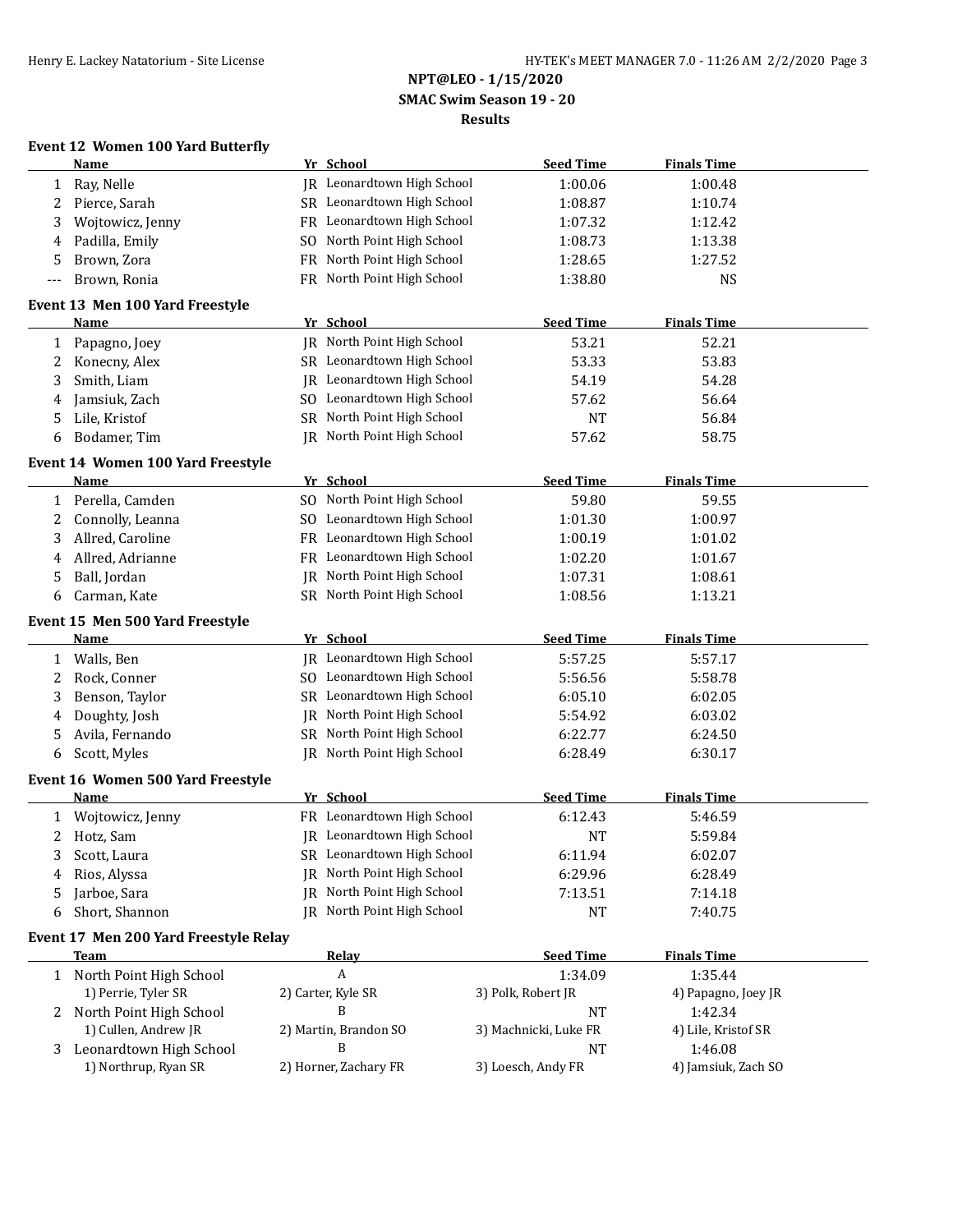## **NPT@LEO - 1/15/2020 SMAC Swim Season 19 - 20**

#### **Results**

## **Event 12 Women 100 Yard Butterfly**

|              | <b>Name</b>                                    |           | Yr School                         | <b>Seed Time</b>      | <b>Finals Time</b>             |  |
|--------------|------------------------------------------------|-----------|-----------------------------------|-----------------------|--------------------------------|--|
| 1            | Ray, Nelle                                     |           | IR Leonardtown High School        | 1:00.06               | 1:00.48                        |  |
| 2            | Pierce, Sarah                                  |           | SR Leonardtown High School        | 1:08.87               | 1:10.74                        |  |
| 3            | Wojtowicz, Jenny                               |           | FR Leonardtown High School        | 1:07.32               | 1:12.42                        |  |
| 4            | Padilla, Emily                                 |           | SO North Point High School        | 1:08.73               | 1:13.38                        |  |
| 5            | Brown, Zora                                    | <b>FR</b> | North Point High School           | 1:28.65               | 1:27.52                        |  |
| ---          | Brown, Ronia                                   |           | FR North Point High School        | 1:38.80               | <b>NS</b>                      |  |
|              |                                                |           |                                   |                       |                                |  |
|              | Event 13 Men 100 Yard Freestyle                |           |                                   |                       |                                |  |
|              | Name                                           |           | Yr School                         | <b>Seed Time</b>      | <b>Finals Time</b>             |  |
| $\mathbf{1}$ | Papagno, Joey                                  |           | IR North Point High School        | 53.21                 | 52.21                          |  |
| 2            | Konecny, Alex                                  |           | SR Leonardtown High School        | 53.33                 | 53.83                          |  |
| 3            | Smith, Liam                                    |           | <b>IR</b> Leonardtown High School | 54.19                 | 54.28                          |  |
| 4            | Jamsiuk, Zach                                  |           | SO Leonardtown High School        | 57.62                 | 56.64                          |  |
| 5            | Lile, Kristof                                  |           | SR North Point High School        | <b>NT</b>             | 56.84                          |  |
| 6            | Bodamer, Tim                                   |           | JR North Point High School        | 57.62                 | 58.75                          |  |
|              | Event 14 Women 100 Yard Freestyle              |           |                                   |                       |                                |  |
|              | Name                                           |           | Yr School                         | <b>Seed Time</b>      | <b>Finals Time</b>             |  |
| 1            | Perella, Camden                                |           | SO North Point High School        | 59.80                 | 59.55                          |  |
| 2            | Connolly, Leanna                               |           | SO Leonardtown High School        | 1:01.30               | 1:00.97                        |  |
| 3            | Allred, Caroline                               |           | FR Leonardtown High School        | 1:00.19               | 1:01.02                        |  |
| 4            | Allred, Adrianne                               |           | FR Leonardtown High School        | 1:02.20               | 1:01.67                        |  |
| 5            | Ball, Jordan                                   |           | JR North Point High School        | 1:07.31               | 1:08.61                        |  |
| 6            | Carman, Kate                                   |           | SR North Point High School        | 1:08.56               | 1:13.21                        |  |
|              |                                                |           |                                   |                       |                                |  |
|              | Event 15 Men 500 Yard Freestyle<br><b>Name</b> |           | Yr School                         | <b>Seed Time</b>      | <b>Finals Time</b>             |  |
|              |                                                |           | JR Leonardtown High School        | 5:57.25               |                                |  |
|              | 1 Walls, Ben                                   |           | SO Leonardtown High School        |                       | 5:57.17                        |  |
| 2            | Rock, Conner                                   |           |                                   | 5:56.56               | 5:58.78                        |  |
| 3            | Benson, Taylor                                 |           | SR Leonardtown High School        | 6:05.10               | 6:02.05                        |  |
| 4            | Doughty, Josh                                  |           | <b>IR</b> North Point High School | 5:54.92               | 6:03.02                        |  |
| 5            | Avila, Fernando                                |           | SR North Point High School        | 6:22.77               | 6:24.50                        |  |
| 6            | Scott, Myles                                   |           | JR North Point High School        | 6:28.49               | 6:30.17                        |  |
|              | Event 16 Women 500 Yard Freestyle              |           |                                   |                       |                                |  |
|              | <b>Name</b>                                    |           | Yr School                         | <b>Seed Time</b>      | <b>Finals Time</b>             |  |
| 1            | Wojtowicz, Jenny                               |           | FR Leonardtown High School        | 6:12.43               | 5:46.59                        |  |
| 2            | Hotz, Sam                                      |           | IR Leonardtown High School        | <b>NT</b>             | 5:59.84                        |  |
|              | 3 Scott, Laura                                 |           | SR Leonardtown High School        | 6:11.94               | 6:02.07                        |  |
| 4            | Rios, Alyssa                                   |           | JR North Point High School        | 6:29.96               | 6:28.49                        |  |
| 5            | Jarboe, Sara                                   | IR        | North Point High School           | 7:13.51               | 7:14.18                        |  |
| 6            | Short, Shannon                                 | IR        | North Point High School           | <b>NT</b>             | 7:40.75                        |  |
|              | Event 17 Men 200 Yard Freestyle Relay          |           |                                   |                       |                                |  |
|              | <b>Team</b>                                    |           | <b>Relay</b>                      | <b>Seed Time</b>      | <b>Finals Time</b>             |  |
|              |                                                |           | A                                 | 1:34.09               | 1:35.44                        |  |
|              | 1 North Point High School                      |           |                                   | 3) Polk, Robert JR    |                                |  |
|              | 1) Perrie, Tyler SR<br>North Point High School |           | 2) Carter, Kyle SR<br>B           | <b>NT</b>             | 4) Papagno, Joey JR<br>1:42.34 |  |
| 2            | 1) Cullen, Andrew JR                           |           | 2) Martin, Brandon SO             | 3) Machnicki, Luke FR | 4) Lile, Kristof SR            |  |
|              | Leonardtown High School                        |           | B                                 | <b>NT</b>             | 1:46.08                        |  |
| 3            | 1) Northrup, Ryan SR                           |           | 2) Horner, Zachary FR             | 3) Loesch, Andy FR    | 4) Jamsiuk, Zach SO            |  |
|              |                                                |           |                                   |                       |                                |  |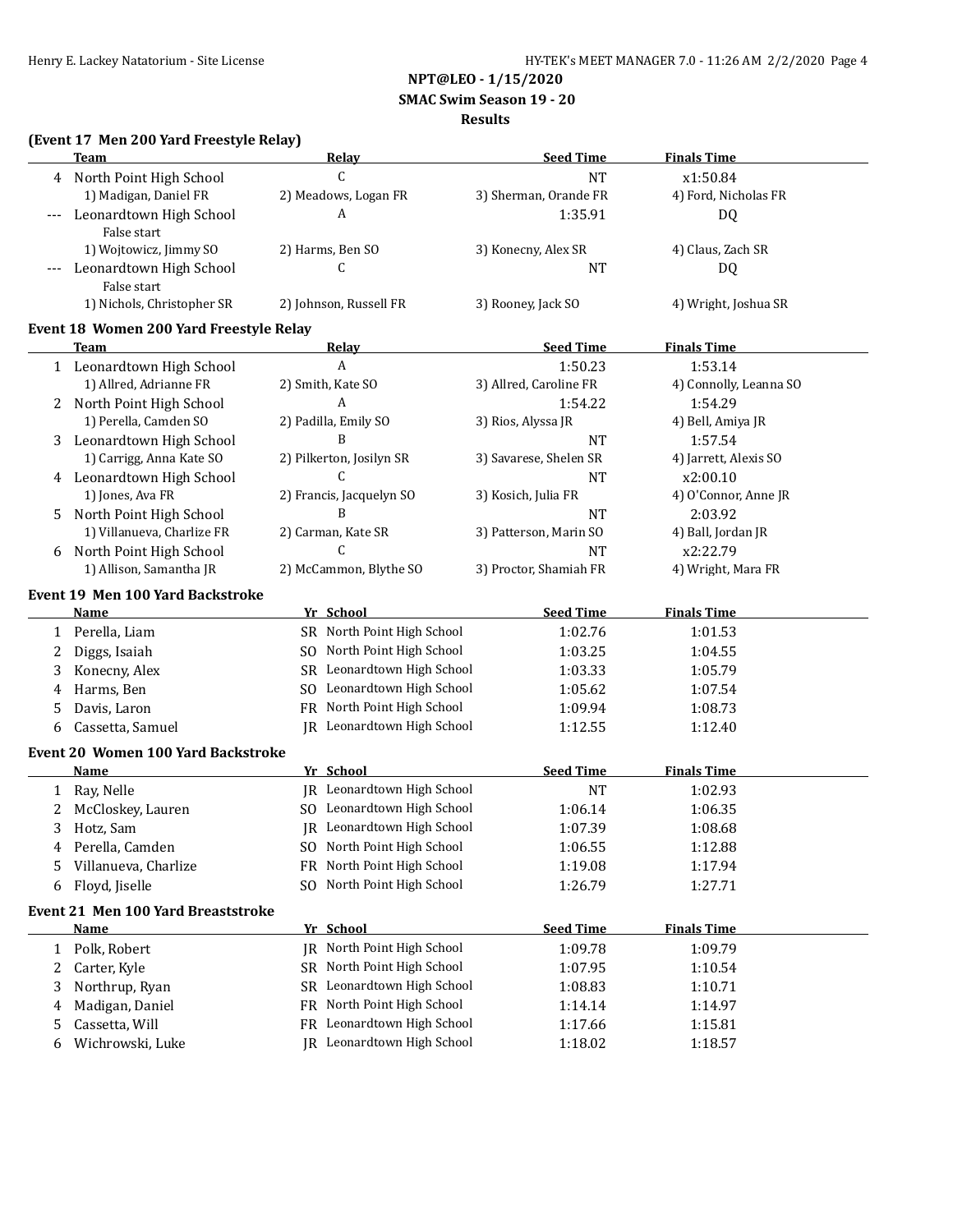**NPT@LEO - 1/15/2020**

 **SMAC Swim Season 19 - 20**

#### **Results**

## **(Event 17 Men 200 Yard Freestyle Relay)**

|              | <b>Team</b>                                | Relay                      | <b>Seed Time</b>       | <b>Finals Time</b>     |
|--------------|--------------------------------------------|----------------------------|------------------------|------------------------|
| 4            | North Point High School                    | C                          | <b>NT</b>              | x1:50.84               |
|              | 1) Madigan, Daniel FR                      | 2) Meadows, Logan FR       | 3) Sherman, Orande FR  | 4) Ford, Nicholas FR   |
|              | Leonardtown High School                    | A                          | 1:35.91                | <b>DQ</b>              |
|              | False start                                |                            |                        |                        |
|              | 1) Wojtowicz, Jimmy SO                     | 2) Harms, Ben SO           | 3) Konecny, Alex SR    | 4) Claus, Zach SR      |
|              | Leonardtown High School                    | C                          | <b>NT</b>              | <b>DQ</b>              |
|              | False start                                |                            |                        |                        |
|              | 1) Nichols, Christopher SR                 | 2) Johnson, Russell FR     | 3) Rooney, Jack SO     | 4) Wright, Joshua SR   |
|              | Event 18 Women 200 Yard Freestyle Relay    |                            |                        |                        |
|              | <b>Team</b>                                | <u>Relav</u>               | <b>Seed Time</b>       | <b>Finals Time</b>     |
|              | 1 Leonardtown High School                  | A                          | 1:50.23                | 1:53.14                |
|              | 1) Allred, Adrianne FR                     | 2) Smith, Kate SO          | 3) Allred, Caroline FR | 4) Connolly, Leanna SO |
|              | 2 North Point High School                  | A                          | 1:54.22                | 1:54.29                |
|              | 1) Perella, Camden SO                      | 2) Padilla, Emily SO       | 3) Rios, Alyssa JR     | 4) Bell, Amiya JR      |
| 3            | Leonardtown High School                    | B                          | <b>NT</b>              | 1:57.54                |
|              | 1) Carrigg, Anna Kate SO                   | 2) Pilkerton, Josilyn SR   | 3) Savarese, Shelen SR | 4) Jarrett, Alexis SO  |
|              | 4 Leonardtown High School                  | C                          | <b>NT</b>              | x2:00.10               |
|              | 1) Jones, Ava FR                           | 2) Francis, Jacquelyn SO   | 3) Kosich, Julia FR    | 4) O'Connor, Anne JR   |
| 5            | North Point High School                    | B                          | <b>NT</b>              | 2:03.92                |
|              | 1) Villanueva, Charlize FR                 | 2) Carman, Kate SR         | 3) Patterson, Marin SO | 4) Ball, Jordan JR     |
| 6            | North Point High School                    | $\mathsf{C}$               | <b>NT</b>              | x2:22.79               |
|              | 1) Allison, Samantha JR                    | 2) McCammon, Blythe SO     | 3) Proctor, Shamiah FR | 4) Wright, Mara FR     |
|              | Event 19 Men 100 Yard Backstroke           |                            |                        |                        |
|              | <u>Name</u>                                | Yr School                  | <b>Seed Time</b>       | <b>Finals Time</b>     |
|              | 1 Perella, Liam                            | SR North Point High School | 1:02.76                | 1:01.53                |
| 2            | Diggs, Isaiah                              | SO North Point High School | 1:03.25                | 1:04.55                |
| 3            | Konecny, Alex                              | SR Leonardtown High School | 1:03.33                | 1:05.79                |
| 4            | Harms, Ben                                 | SO Leonardtown High School | 1:05.62                | 1:07.54                |
| 5            | Davis, Laron                               | FR North Point High School | 1:09.94                | 1:08.73                |
| 6            | Cassetta, Samuel                           | JR Leonardtown High School | 1:12.55                | 1:12.40                |
|              |                                            |                            |                        |                        |
|              | Event 20 Women 100 Yard Backstroke<br>Name | Yr School                  | <b>Seed Time</b>       | <b>Finals Time</b>     |
|              | Ray, Nelle                                 | JR Leonardtown High School | <b>NT</b>              | 1:02.93                |
| 1<br>2       | McCloskey, Lauren                          | SO Leonardtown High School | 1:06.14                | 1:06.35                |
|              | Hotz, Sam                                  | JR Leonardtown High School | 1:07.39                | 1:08.68                |
| 3            | Perella, Camden                            | SO North Point High School |                        | 1:12.88                |
| 4            | Villanueva, Charlize                       | FR North Point High School | 1:06.55                |                        |
| 5            |                                            |                            | 1:19.08                | 1:17.94                |
| 6            | Floyd, Jiselle                             | SO North Point High School | 1:26.79                | 1:27.71                |
|              | <b>Event 21 Men 100 Yard Breaststroke</b>  |                            |                        |                        |
|              | <b>Name</b>                                | Yr School                  | <b>Seed Time</b>       | <b>Finals Time</b>     |
| $\mathbf{1}$ | Polk, Robert                               | JR North Point High School | 1:09.78                | 1:09.79                |
| 2            | Carter, Kyle                               | SR North Point High School | 1:07.95                | 1:10.54                |
| 3            | Northrup, Ryan                             | SR Leonardtown High School | 1:08.83                | 1:10.71                |
| 4            | Madigan, Daniel                            | FR North Point High School | 1:14.14                | 1:14.97                |
| 5            | Cassetta, Will                             | FR Leonardtown High School | 1:17.66                | 1:15.81                |
| 6            | Wichrowski, Luke                           | JR Leonardtown High School | 1:18.02                | 1:18.57                |